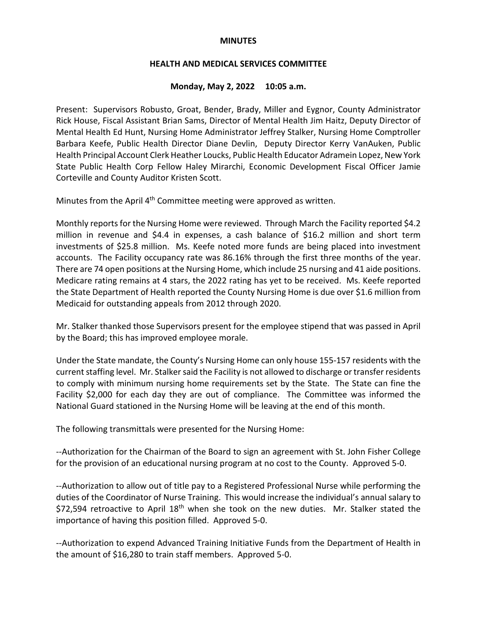#### **MINUTES**

### **HEALTH AND MEDICAL SERVICES COMMITTEE**

#### **Monday, May 2, 2022 10:05 a.m.**

Present: Supervisors Robusto, Groat, Bender, Brady, Miller and Eygnor, County Administrator Rick House, Fiscal Assistant Brian Sams, Director of Mental Health Jim Haitz, Deputy Director of Mental Health Ed Hunt, Nursing Home Administrator Jeffrey Stalker, Nursing Home Comptroller Barbara Keefe, Public Health Director Diane Devlin, Deputy Director Kerry VanAuken, Public Health Principal Account Clerk Heather Loucks, Public Health Educator Adramein Lopez, New York State Public Health Corp Fellow Haley Mirarchi, Economic Development Fiscal Officer Jamie Corteville and County Auditor Kristen Scott.

Minutes from the April 4<sup>th</sup> Committee meeting were approved as written.

Monthly reports for the Nursing Home were reviewed. Through March the Facility reported \$4.2 million in revenue and \$4.4 in expenses, a cash balance of \$16.2 million and short term investments of \$25.8 million. Ms. Keefe noted more funds are being placed into investment accounts. The Facility occupancy rate was 86.16% through the first three months of the year. There are 74 open positions at the Nursing Home, which include 25 nursing and 41 aide positions. Medicare rating remains at 4 stars, the 2022 rating has yet to be received. Ms. Keefe reported the State Department of Health reported the County Nursing Home is due over \$1.6 million from Medicaid for outstanding appeals from 2012 through 2020.

Mr. Stalker thanked those Supervisors present for the employee stipend that was passed in April by the Board; this has improved employee morale.

Under the State mandate, the County's Nursing Home can only house 155-157 residents with the current staffing level. Mr. Stalker said the Facility is not allowed to discharge or transfer residents to comply with minimum nursing home requirements set by the State. The State can fine the Facility \$2,000 for each day they are out of compliance. The Committee was informed the National Guard stationed in the Nursing Home will be leaving at the end of this month.

The following transmittals were presented for the Nursing Home:

--Authorization for the Chairman of the Board to sign an agreement with St. John Fisher College for the provision of an educational nursing program at no cost to the County. Approved 5-0.

--Authorization to allow out of title pay to a Registered Professional Nurse while performing the duties of the Coordinator of Nurse Training. This would increase the individual's annual salary to  $$72,594$  retroactive to April 18<sup>th</sup> when she took on the new duties. Mr. Stalker stated the importance of having this position filled. Approved 5-0.

--Authorization to expend Advanced Training Initiative Funds from the Department of Health in the amount of \$16,280 to train staff members. Approved 5-0.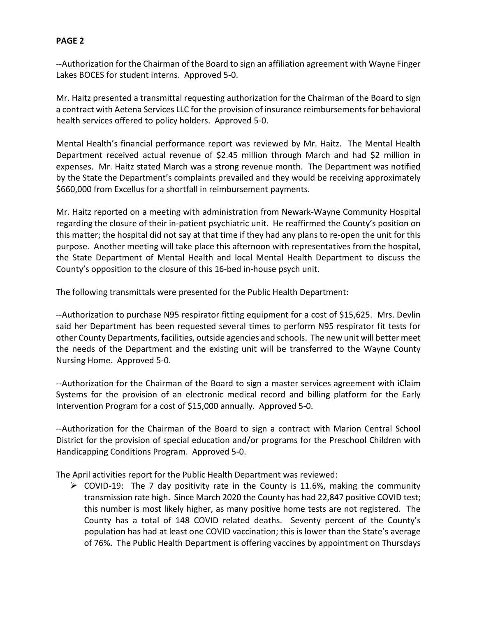# **PAGE 2**

--Authorization for the Chairman of the Board to sign an affiliation agreement with Wayne Finger Lakes BOCES for student interns. Approved 5-0.

Mr. Haitz presented a transmittal requesting authorization for the Chairman of the Board to sign a contract with Aetena Services LLC for the provision of insurance reimbursements for behavioral health services offered to policy holders. Approved 5-0.

Mental Health's financial performance report was reviewed by Mr. Haitz. The Mental Health Department received actual revenue of \$2.45 million through March and had \$2 million in expenses. Mr. Haitz stated March was a strong revenue month. The Department was notified by the State the Department's complaints prevailed and they would be receiving approximately \$660,000 from Excellus for a shortfall in reimbursement payments.

Mr. Haitz reported on a meeting with administration from Newark-Wayne Community Hospital regarding the closure of their in-patient psychiatric unit. He reaffirmed the County's position on this matter; the hospital did not say at that time if they had any plans to re-open the unit for this purpose. Another meeting will take place this afternoon with representatives from the hospital, the State Department of Mental Health and local Mental Health Department to discuss the County's opposition to the closure of this 16-bed in-house psych unit.

The following transmittals were presented for the Public Health Department:

--Authorization to purchase N95 respirator fitting equipment for a cost of \$15,625. Mrs. Devlin said her Department has been requested several times to perform N95 respirator fit tests for other County Departments, facilities, outside agencies and schools. The new unit will better meet the needs of the Department and the existing unit will be transferred to the Wayne County Nursing Home. Approved 5-0.

--Authorization for the Chairman of the Board to sign a master services agreement with iClaim Systems for the provision of an electronic medical record and billing platform for the Early Intervention Program for a cost of \$15,000 annually. Approved 5-0.

--Authorization for the Chairman of the Board to sign a contract with Marion Central School District for the provision of special education and/or programs for the Preschool Children with Handicapping Conditions Program. Approved 5-0.

The April activities report for the Public Health Department was reviewed:

 $\triangleright$  COVID-19: The 7 day positivity rate in the County is 11.6%, making the community transmission rate high. Since March 2020 the County has had 22,847 positive COVID test; this number is most likely higher, as many positive home tests are not registered. The County has a total of 148 COVID related deaths. Seventy percent of the County's population has had at least one COVID vaccination; this is lower than the State's average of 76%. The Public Health Department is offering vaccines by appointment on Thursdays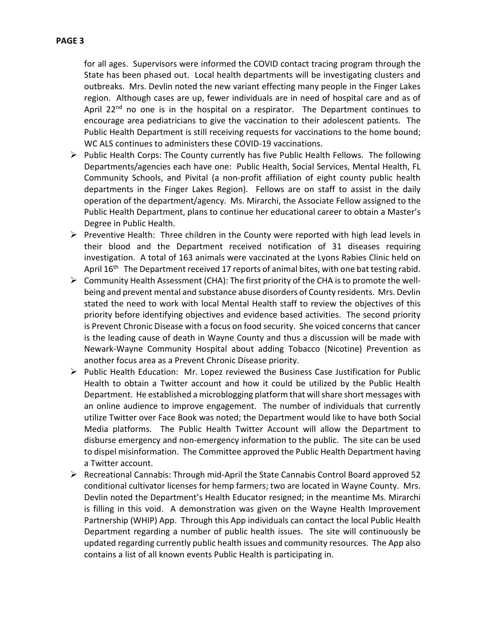for all ages. Supervisors were informed the COVID contact tracing program through the State has been phased out. Local health departments will be investigating clusters and outbreaks. Mrs. Devlin noted the new variant effecting many people in the Finger Lakes region. Although cases are up, fewer individuals are in need of hospital care and as of April 22<sup>nd</sup> no one is in the hospital on a respirator. The Department continues to encourage area pediatricians to give the vaccination to their adolescent patients. The Public Health Department is still receiving requests for vaccinations to the home bound; WC ALS continues to administers these COVID-19 vaccinations.

- $\triangleright$  Public Health Corps: The County currently has five Public Health Fellows. The following Departments/agencies each have one: Public Health, Social Services, Mental Health, FL Community Schools, and Pivital (a non-profit affiliation of eight county public health departments in the Finger Lakes Region). Fellows are on staff to assist in the daily operation of the department/agency. Ms. Mirarchi, the Associate Fellow assigned to the Public Health Department, plans to continue her educational career to obtain a Master's Degree in Public Health.
- $\triangleright$  Preventive Health: Three children in the County were reported with high lead levels in their blood and the Department received notification of 31 diseases requiring investigation. A total of 163 animals were vaccinated at the Lyons Rabies Clinic held on April  $16<sup>th</sup>$  The Department received 17 reports of animal bites, with one bat testing rabid.
- $\triangleright$  Community Health Assessment (CHA): The first priority of the CHA is to promote the wellbeing and prevent mental and substance abuse disorders of County residents. Mrs. Devlin stated the need to work with local Mental Health staff to review the objectives of this priority before identifying objectives and evidence based activities. The second priority is Prevent Chronic Disease with a focus on food security. She voiced concerns that cancer is the leading cause of death in Wayne County and thus a discussion will be made with Newark-Wayne Community Hospital about adding Tobacco (Nicotine) Prevention as another focus area as a Prevent Chronic Disease priority.
- $\triangleright$  Public Health Education: Mr. Lopez reviewed the Business Case Justification for Public Health to obtain a Twitter account and how it could be utilized by the Public Health Department. He established a microblogging platform that will share short messages with an online audience to improve engagement. The number of individuals that currently utilize Twitter over Face Book was noted; the Department would like to have both Social Media platforms. The Public Health Twitter Account will allow the Department to disburse emergency and non-emergency information to the public. The site can be used to dispel misinformation. The Committee approved the Public Health Department having a Twitter account.
- $\triangleright$  Recreational Cannabis: Through mid-April the State Cannabis Control Board approved 52 conditional cultivator licenses for hemp farmers; two are located in Wayne County. Mrs. Devlin noted the Department's Health Educator resigned; in the meantime Ms. Mirarchi is filling in this void. A demonstration was given on the Wayne Health Improvement Partnership (WHIP) App. Through this App individuals can contact the local Public Health Department regarding a number of public health issues. The site will continuously be updated regarding currently public health issues and community resources. The App also contains a list of all known events Public Health is participating in.